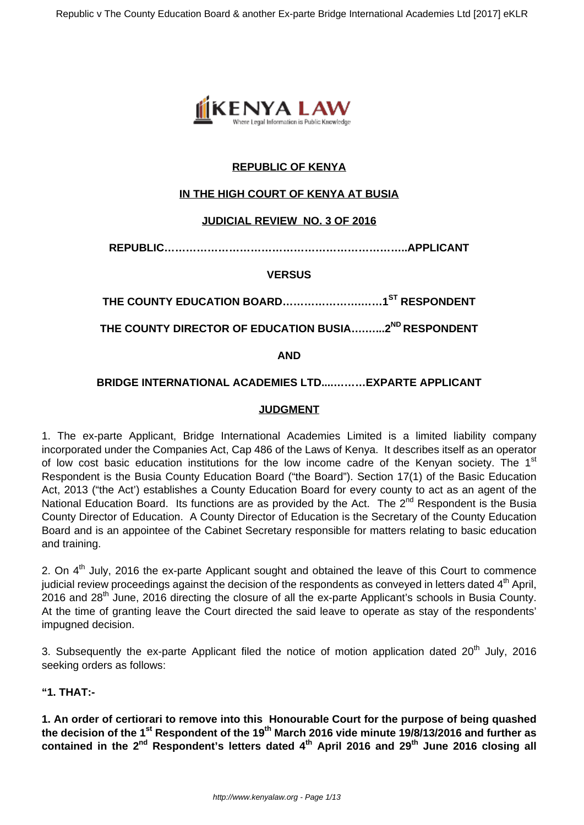

# **REPUBLIC OF KENYA**

## **IN THE HIGH COURT OF KENYA AT BUSIA**

#### **JUDICIAL REVIEW NO. 3 OF 2016**

**REPUBLIC…………………………………………………………..APPLICANT**

#### **VERSUS**

**THE COUNTY EDUCATION BOARD………………….……1ST RESPONDENT**

**THE COUNTY DIRECTOR OF EDUCATION BUSIA….…...2ND RESPONDENT**

**AND**

### **BRIDGE INTERNATIONAL ACADEMIES LTD....………EXPARTE APPLICANT**

#### **JUDGMENT**

1. The ex-parte Applicant, Bridge International Academies Limited is a limited liability company incorporated under the Companies Act, Cap 486 of the Laws of Kenya. It describes itself as an operator of low cost basic education institutions for the low income cadre of the Kenyan society. The 1<sup>st</sup> Respondent is the Busia County Education Board ("the Board"). Section 17(1) of the Basic Education Act, 2013 ("the Act') establishes a County Education Board for every county to act as an agent of the National Education Board. Its functions are as provided by the Act. The 2<sup>nd</sup> Respondent is the Busia County Director of Education. A County Director of Education is the Secretary of the County Education Board and is an appointee of the Cabinet Secretary responsible for matters relating to basic education and training.

2. On 4<sup>th</sup> July, 2016 the ex-parte Applicant sought and obtained the leave of this Court to commence judicial review proceedings against the decision of the respondents as conveyed in letters dated  $4<sup>th</sup>$  April, 2016 and 28<sup>th</sup> June, 2016 directing the closure of all the ex-parte Applicant's schools in Busia County. At the time of granting leave the Court directed the said leave to operate as stay of the respondents' impugned decision.

3. Subsequently the ex-parte Applicant filed the notice of motion application dated  $20<sup>th</sup>$  July, 2016 seeking orders as follows:

**"1. THAT:-**

**1. An order of certiorari to remove into this Honourable Court for the purpose of being quashed the decision of the 1st Respondent of the 19th March 2016 vide minute 19/8/13/2016 and further as contained in the 2nd Respondent's letters dated 4th April 2016 and 29th June 2016 closing all**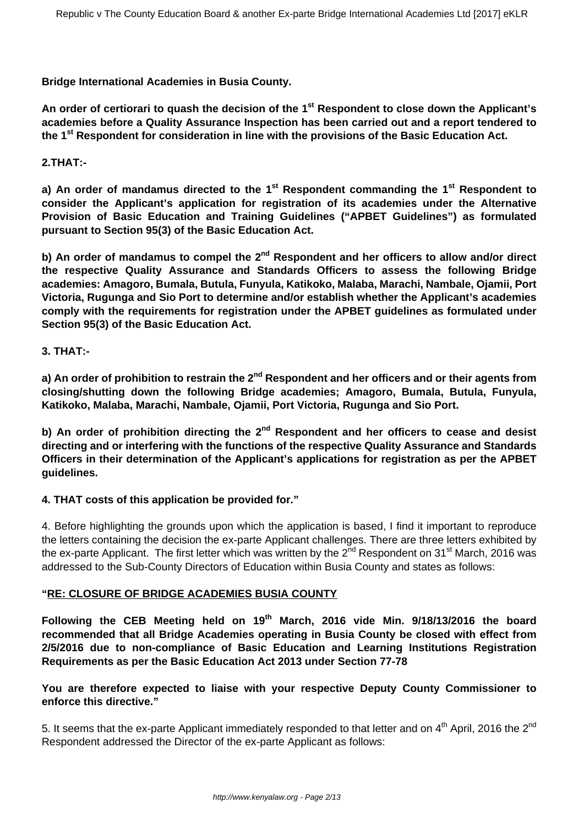**Bridge International Academies in Busia County.**

**An order of certiorari to quash the decision of the 1st Respondent to close down the Applicant's academies before a Quality Assurance Inspection has been carried out and a report tendered to the 1st Respondent for consideration in line with the provisions of the Basic Education Act.**

### **2.THAT:-**

**a) An order of mandamus directed to the 1st Respondent commanding the 1st Respondent to consider the Applicant's application for registration of its academies under the Alternative Provision of Basic Education and Training Guidelines ("APBET Guidelines") as formulated pursuant to Section 95(3) of the Basic Education Act.**

**b) An order of mandamus to compel the 2nd Respondent and her officers to allow and/or direct the respective Quality Assurance and Standards Officers to assess the following Bridge academies: Amagoro, Bumala, Butula, Funyula, Katikoko, Malaba, Marachi, Nambale, Ojamii, Port Victoria, Rugunga and Sio Port to determine and/or establish whether the Applicant's academies comply with the requirements for registration under the APBET guidelines as formulated under Section 95(3) of the Basic Education Act.**

#### **3. THAT:-**

**a) An order of prohibition to restrain the 2nd Respondent and her officers and or their agents from closing/shutting down the following Bridge academies; Amagoro, Bumala, Butula, Funyula, Katikoko, Malaba, Marachi, Nambale, Ojamii, Port Victoria, Rugunga and Sio Port.**

**b) An order of prohibition directing the 2nd Respondent and her officers to cease and desist directing and or interfering with the functions of the respective Quality Assurance and Standards Officers in their determination of the Applicant's applications for registration as per the APBET guidelines.**

# **4. THAT costs of this application be provided for."**

4. Before highlighting the grounds upon which the application is based, I find it important to reproduce the letters containing the decision the ex-parte Applicant challenges. There are three letters exhibited by the ex-parte Applicant. The first letter which was written by the  $2^{nd}$  Respondent on 31<sup>st</sup> March, 2016 was addressed to the Sub-County Directors of Education within Busia County and states as follows:

#### **"RE: CLOSURE OF BRIDGE ACADEMIES BUSIA COUNTY**

**Following the CEB Meeting held on 19th March, 2016 vide Min. 9/18/13/2016 the board recommended that all Bridge Academies operating in Busia County be closed with effect from 2/5/2016 due to non-compliance of Basic Education and Learning Institutions Registration Requirements as per the Basic Education Act 2013 under Section 77-78**

**You are therefore expected to liaise with your respective Deputy County Commissioner to enforce this directive."**

5. It seems that the ex-parte Applicant immediately responded to that letter and on 4<sup>th</sup> April, 2016 the 2<sup>nd</sup> Respondent addressed the Director of the ex-parte Applicant as follows: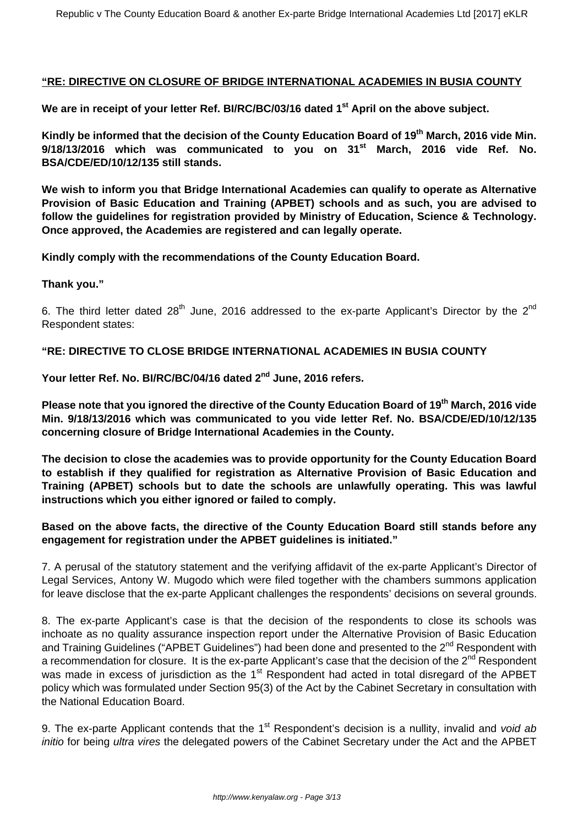#### **"RE: DIRECTIVE ON CLOSURE OF BRIDGE INTERNATIONAL ACADEMIES IN BUSIA COUNTY**

**We are in receipt of your letter Ref. BI/RC/BC/03/16 dated 1st April on the above subject.**

**Kindly be informed that the decision of the County Education Board of 19th March, 2016 vide Min. 9/18/13/2016 which was communicated to you on 31st March, 2016 vide Ref. No. BSA/CDE/ED/10/12/135 still stands.**

**We wish to inform you that Bridge International Academies can qualify to operate as Alternative Provision of Basic Education and Training (APBET) schools and as such, you are advised to follow the guidelines for registration provided by Ministry of Education, Science & Technology. Once approved, the Academies are registered and can legally operate.**

**Kindly comply with the recommendations of the County Education Board.**

#### **Thank you."**

6. The third letter dated  $28<sup>th</sup>$  June, 2016 addressed to the ex-parte Applicant's Director by the  $2<sup>nd</sup>$ Respondent states:

**"RE: DIRECTIVE TO CLOSE BRIDGE INTERNATIONAL ACADEMIES IN BUSIA COUNTY**

**Your letter Ref. No. BI/RC/BC/04/16 dated 2nd June, 2016 refers.**

**Please note that you ignored the directive of the County Education Board of 19th March, 2016 vide Min. 9/18/13/2016 which was communicated to you vide letter Ref. No. BSA/CDE/ED/10/12/135 concerning closure of Bridge International Academies in the County.**

**The decision to close the academies was to provide opportunity for the County Education Board to establish if they qualified for registration as Alternative Provision of Basic Education and Training (APBET) schools but to date the schools are unlawfully operating. This was lawful instructions which you either ignored or failed to comply.**

### **Based on the above facts, the directive of the County Education Board still stands before any engagement for registration under the APBET guidelines is initiated."**

7. A perusal of the statutory statement and the verifying affidavit of the ex-parte Applicant's Director of Legal Services, Antony W. Mugodo which were filed together with the chambers summons application for leave disclose that the ex-parte Applicant challenges the respondents' decisions on several grounds.

8. The ex-parte Applicant's case is that the decision of the respondents to close its schools was inchoate as no quality assurance inspection report under the Alternative Provision of Basic Education and Training Guidelines ("APBET Guidelines") had been done and presented to the 2<sup>nd</sup> Respondent with a recommendation for closure. It is the ex-parte Applicant's case that the decision of the 2<sup>nd</sup> Respondent was made in excess of jurisdiction as the 1<sup>st</sup> Respondent had acted in total disregard of the APBET policy which was formulated under Section 95(3) of the Act by the Cabinet Secretary in consultation with the National Education Board.

9. The ex-parte Applicant contends that the 1<sup>st</sup> Respondent's decision is a nullity, invalid and void ab initio for being ultra vires the delegated powers of the Cabinet Secretary under the Act and the APBET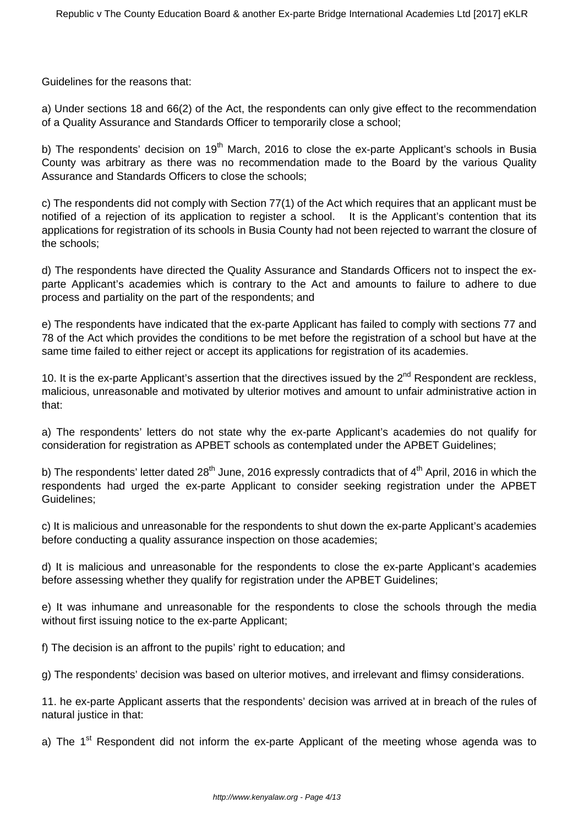Guidelines for the reasons that:

a) Under sections 18 and 66(2) of the Act, the respondents can only give effect to the recommendation of a Quality Assurance and Standards Officer to temporarily close a school;

b) The respondents' decision on 19<sup>th</sup> March, 2016 to close the ex-parte Applicant's schools in Busia County was arbitrary as there was no recommendation made to the Board by the various Quality Assurance and Standards Officers to close the schools;

c) The respondents did not comply with Section 77(1) of the Act which requires that an applicant must be notified of a rejection of its application to register a school. It is the Applicant's contention that its applications for registration of its schools in Busia County had not been rejected to warrant the closure of the schools;

d) The respondents have directed the Quality Assurance and Standards Officers not to inspect the exparte Applicant's academies which is contrary to the Act and amounts to failure to adhere to due process and partiality on the part of the respondents; and

e) The respondents have indicated that the ex-parte Applicant has failed to comply with sections 77 and 78 of the Act which provides the conditions to be met before the registration of a school but have at the same time failed to either reject or accept its applications for registration of its academies.

10. It is the ex-parte Applicant's assertion that the directives issued by the  $2^{nd}$  Respondent are reckless, malicious, unreasonable and motivated by ulterior motives and amount to unfair administrative action in that:

a) The respondents' letters do not state why the ex-parte Applicant's academies do not qualify for consideration for registration as APBET schools as contemplated under the APBET Guidelines;

b) The respondents' letter dated  $28<sup>th</sup>$  June, 2016 expressly contradicts that of  $4<sup>th</sup>$  April, 2016 in which the respondents had urged the ex-parte Applicant to consider seeking registration under the APBET Guidelines;

c) It is malicious and unreasonable for the respondents to shut down the ex-parte Applicant's academies before conducting a quality assurance inspection on those academies;

d) It is malicious and unreasonable for the respondents to close the ex-parte Applicant's academies before assessing whether they qualify for registration under the APBET Guidelines;

e) It was inhumane and unreasonable for the respondents to close the schools through the media without first issuing notice to the ex-parte Applicant;

f) The decision is an affront to the pupils' right to education; and

g) The respondents' decision was based on ulterior motives, and irrelevant and flimsy considerations.

11. he ex-parte Applicant asserts that the respondents' decision was arrived at in breach of the rules of natural justice in that:

a) The 1<sup>st</sup> Respondent did not inform the ex-parte Applicant of the meeting whose agenda was to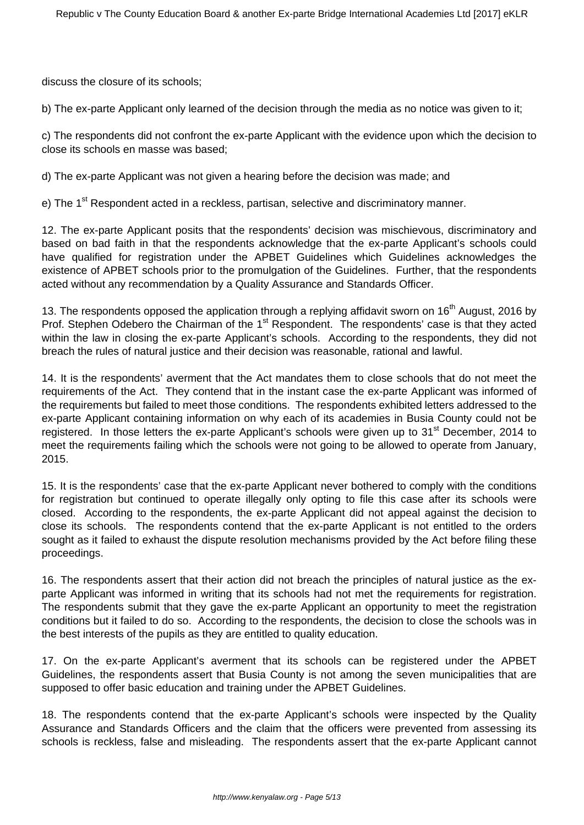discuss the closure of its schools;

b) The ex-parte Applicant only learned of the decision through the media as no notice was given to it;

c) The respondents did not confront the ex-parte Applicant with the evidence upon which the decision to close its schools en masse was based;

d) The ex-parte Applicant was not given a hearing before the decision was made; and

e) The 1<sup>st</sup> Respondent acted in a reckless, partisan, selective and discriminatory manner.

12. The ex-parte Applicant posits that the respondents' decision was mischievous, discriminatory and based on bad faith in that the respondents acknowledge that the ex-parte Applicant's schools could have qualified for registration under the APBET Guidelines which Guidelines acknowledges the existence of APBET schools prior to the promulgation of the Guidelines. Further, that the respondents acted without any recommendation by a Quality Assurance and Standards Officer.

13. The respondents opposed the application through a replying affidavit sworn on 16<sup>th</sup> August, 2016 by Prof. Stephen Odebero the Chairman of the 1<sup>st</sup> Respondent. The respondents' case is that they acted within the law in closing the ex-parte Applicant's schools. According to the respondents, they did not breach the rules of natural justice and their decision was reasonable, rational and lawful.

14. It is the respondents' averment that the Act mandates them to close schools that do not meet the requirements of the Act. They contend that in the instant case the ex-parte Applicant was informed of the requirements but failed to meet those conditions. The respondents exhibited letters addressed to the ex-parte Applicant containing information on why each of its academies in Busia County could not be registered. In those letters the ex-parte Applicant's schools were given up to 31<sup>st</sup> December, 2014 to meet the requirements failing which the schools were not going to be allowed to operate from January, 2015.

15. It is the respondents' case that the ex-parte Applicant never bothered to comply with the conditions for registration but continued to operate illegally only opting to file this case after its schools were closed. According to the respondents, the ex-parte Applicant did not appeal against the decision to close its schools. The respondents contend that the ex-parte Applicant is not entitled to the orders sought as it failed to exhaust the dispute resolution mechanisms provided by the Act before filing these proceedings.

16. The respondents assert that their action did not breach the principles of natural justice as the exparte Applicant was informed in writing that its schools had not met the requirements for registration. The respondents submit that they gave the ex-parte Applicant an opportunity to meet the registration conditions but it failed to do so. According to the respondents, the decision to close the schools was in the best interests of the pupils as they are entitled to quality education.

17. On the ex-parte Applicant's averment that its schools can be registered under the APBET Guidelines, the respondents assert that Busia County is not among the seven municipalities that are supposed to offer basic education and training under the APBET Guidelines.

18. The respondents contend that the ex-parte Applicant's schools were inspected by the Quality Assurance and Standards Officers and the claim that the officers were prevented from assessing its schools is reckless, false and misleading. The respondents assert that the ex-parte Applicant cannot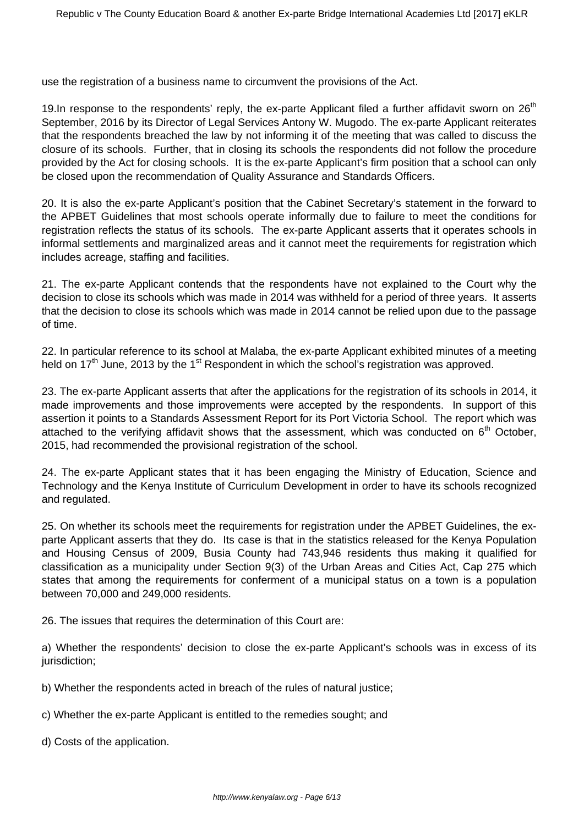use the registration of a business name to circumvent the provisions of the Act.

19.In response to the respondents' reply, the ex-parte Applicant filed a further affidavit sworn on 26<sup>th</sup> September, 2016 by its Director of Legal Services Antony W. Mugodo. The ex-parte Applicant reiterates that the respondents breached the law by not informing it of the meeting that was called to discuss the closure of its schools. Further, that in closing its schools the respondents did not follow the procedure provided by the Act for closing schools. It is the ex-parte Applicant's firm position that a school can only be closed upon the recommendation of Quality Assurance and Standards Officers.

20. It is also the ex-parte Applicant's position that the Cabinet Secretary's statement in the forward to the APBET Guidelines that most schools operate informally due to failure to meet the conditions for registration reflects the status of its schools. The ex-parte Applicant asserts that it operates schools in informal settlements and marginalized areas and it cannot meet the requirements for registration which includes acreage, staffing and facilities.

21. The ex-parte Applicant contends that the respondents have not explained to the Court why the decision to close its schools which was made in 2014 was withheld for a period of three years. It asserts that the decision to close its schools which was made in 2014 cannot be relied upon due to the passage of time.

22. In particular reference to its school at Malaba, the ex-parte Applicant exhibited minutes of a meeting held on  $17<sup>th</sup>$  June, 2013 by the 1<sup>st</sup> Respondent in which the school's registration was approved.

23. The ex-parte Applicant asserts that after the applications for the registration of its schools in 2014, it made improvements and those improvements were accepted by the respondents. In support of this assertion it points to a Standards Assessment Report for its Port Victoria School. The report which was attached to the verifying affidavit shows that the assessment, which was conducted on  $6<sup>th</sup>$  October, 2015, had recommended the provisional registration of the school.

24. The ex-parte Applicant states that it has been engaging the Ministry of Education, Science and Technology and the Kenya Institute of Curriculum Development in order to have its schools recognized and regulated.

25. On whether its schools meet the requirements for registration under the APBET Guidelines, the exparte Applicant asserts that they do. Its case is that in the statistics released for the Kenya Population and Housing Census of 2009, Busia County had 743,946 residents thus making it qualified for classification as a municipality under Section 9(3) of the Urban Areas and Cities Act, Cap 275 which states that among the requirements for conferment of a municipal status on a town is a population between 70,000 and 249,000 residents.

26. The issues that requires the determination of this Court are:

a) Whether the respondents' decision to close the ex-parte Applicant's schools was in excess of its jurisdiction;

b) Whether the respondents acted in breach of the rules of natural justice;

c) Whether the ex-parte Applicant is entitled to the remedies sought; and

d) Costs of the application.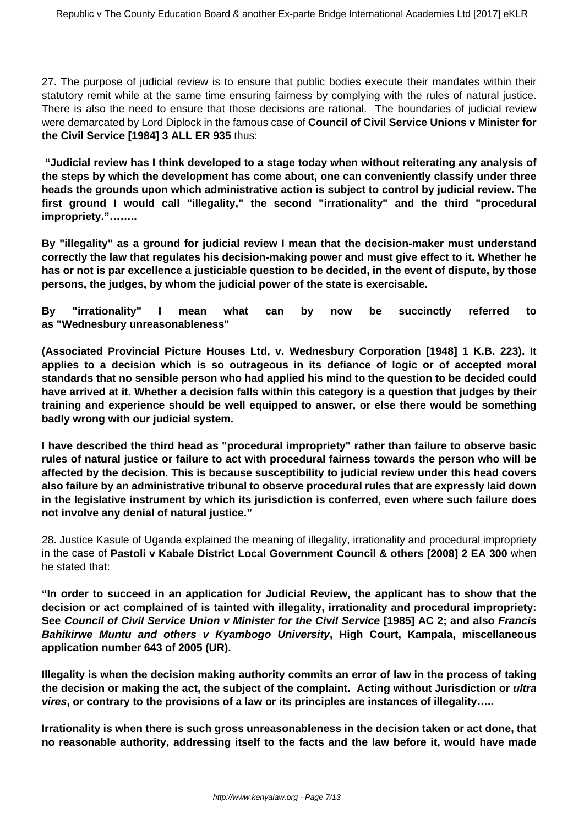27. The purpose of judicial review is to ensure that public bodies execute their mandates within their statutory remit while at the same time ensuring fairness by complying with the rules of natural justice. There is also the need to ensure that those decisions are rational. The boundaries of judicial review were demarcated by Lord Diplock in the famous case of **Council of Civil Service Unions v Minister for the Civil Service [1984] 3 ALL ER 935** thus:

**"Judicial review has I think developed to a stage today when without reiterating any analysis of the steps by which the development has come about, one can conveniently classify under three heads the grounds upon which administrative action is subject to control by judicial review. The first ground I would call "illegality," the second "irrationality" and the third "procedural impropriety."……..**

**By "illegality" as a ground for judicial review I mean that the decision-maker must understand correctly the law that regulates his decision-making power and must give effect to it. Whether he has or not is par excellence a justiciable question to be decided, in the event of dispute, by those persons, the judges, by whom the judicial power of the state is exercisable.**

**By "irrationality" I mean what can by now be succinctly referred to as "Wednesbury unreasonableness"**

**(Associated Provincial Picture Houses Ltd, v. Wednesbury Corporation [1948] 1 K.B. 223). It applies to a decision which is so outrageous in its defiance of logic or of accepted moral standards that no sensible person who had applied his mind to the question to be decided could have arrived at it. Whether a decision falls within this category is a question that judges by their training and experience should be well equipped to answer, or else there would be something badly wrong with our judicial system.** 

**I have described the third head as "procedural impropriety" rather than failure to observe basic rules of natural justice or failure to act with procedural fairness towards the person who will be affected by the decision. This is because susceptibility to judicial review under this head covers also failure by an administrative tribunal to observe procedural rules that are expressly laid down in the legislative instrument by which its jurisdiction is conferred, even where such failure does not involve any denial of natural justice."**

28. Justice Kasule of Uganda explained the meaning of illegality, irrationality and procedural impropriety in the case of **Pastoli v Kabale District Local Government Council & others [2008] 2 EA 300** when he stated that:

**"In order to succeed in an application for Judicial Review, the applicant has to show that the decision or act complained of is tainted with illegality, irrationality and procedural impropriety: See Council of Civil Service Union v Minister for the Civil Service [1985] AC 2; and also Francis Bahikirwe Muntu and others v Kyambogo University, High Court, Kampala, miscellaneous application number 643 of 2005 (UR).**

**Illegality is when the decision making authority commits an error of law in the process of taking the decision or making the act, the subject of the complaint. Acting without Jurisdiction or ultra vires, or contrary to the provisions of a law or its principles are instances of illegality…..**

**Irrationality is when there is such gross unreasonableness in the decision taken or act done, that no reasonable authority, addressing itself to the facts and the law before it, would have made**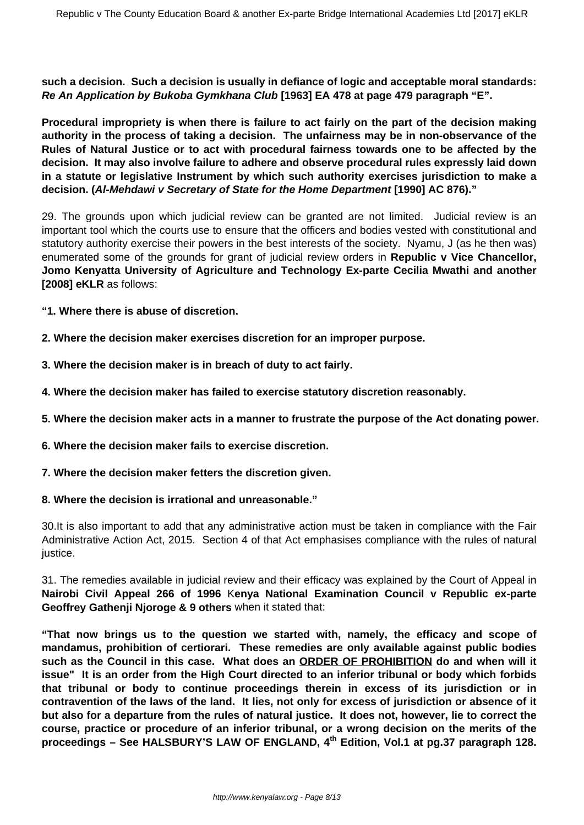**such a decision. Such a decision is usually in defiance of logic and acceptable moral standards: Re An Application by Bukoba Gymkhana Club [1963] EA 478 at page 479 paragraph "E".**

**Procedural impropriety is when there is failure to act fairly on the part of the decision making authority in the process of taking a decision. The unfairness may be in non-observance of the Rules of Natural Justice or to act with procedural fairness towards one to be affected by the decision. It may also involve failure to adhere and observe procedural rules expressly laid down in a statute or legislative Instrument by which such authority exercises jurisdiction to make a decision. (Al-Mehdawi v Secretary of State for the Home Department [1990] AC 876)."**

29. The grounds upon which judicial review can be granted are not limited. Judicial review is an important tool which the courts use to ensure that the officers and bodies vested with constitutional and statutory authority exercise their powers in the best interests of the society. Nyamu, J (as he then was) enumerated some of the grounds for grant of judicial review orders in **Republic v Vice Chancellor, Jomo Kenyatta University of Agriculture and Technology Ex-parte Cecilia Mwathi and another [2008] eKLR** as follows:

**"1. Where there is abuse of discretion.**

**2. Where the decision maker exercises discretion for an improper purpose.**

- **3. Where the decision maker is in breach of duty to act fairly.**
- **4. Where the decision maker has failed to exercise statutory discretion reasonably.**
- **5. Where the decision maker acts in a manner to frustrate the purpose of the Act donating power.**
- **6. Where the decision maker fails to exercise discretion.**
- **7. Where the decision maker fetters the discretion given.**
- **8. Where the decision is irrational and unreasonable."**

30.It is also important to add that any administrative action must be taken in compliance with the Fair Administrative Action Act, 2015. Section 4 of that Act emphasises compliance with the rules of natural justice.

31. The remedies available in judicial review and their efficacy was explained by the Court of Appeal in **Nairobi Civil Appeal 266 of 1996** K**enya National Examination Council v Republic ex-parte Geoffrey Gathenji Njoroge & 9 others** when it stated that:

**"That now brings us to the question we started with, namely, the efficacy and scope of mandamus, prohibition of certiorari. These remedies are only available against public bodies such as the Council in this case. What does an ORDER OF PROHIBITION do and when will it issue" It is an order from the High Court directed to an inferior tribunal or body which forbids that tribunal or body to continue proceedings therein in excess of its jurisdiction or in contravention of the laws of the land. It lies, not only for excess of jurisdiction or absence of it but also for a departure from the rules of natural justice. It does not, however, lie to correct the course, practice or procedure of an inferior tribunal, or a wrong decision on the merits of the proceedings – See HALSBURY'S LAW OF ENGLAND, 4th Edition, Vol.1 at pg.37 paragraph 128.**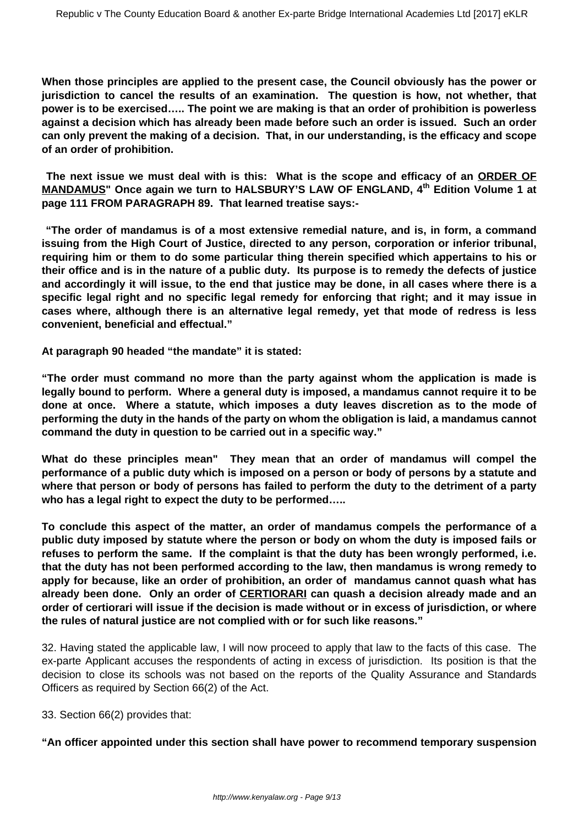**When those principles are applied to the present case, the Council obviously has the power or jurisdiction to cancel the results of an examination. The question is how, not whether, that power is to be exercised….. The point we are making is that an order of prohibition is powerless against a decision which has already been made before such an order is issued. Such an order can only prevent the making of a decision. That, in our understanding, is the efficacy and scope of an order of prohibition.**

**The next issue we must deal with is this: What is the scope and efficacy of an ORDER OF MANDAMUS" Once again we turn to HALSBURY'S LAW OF ENGLAND, 4th Edition Volume 1 at page 111 FROM PARAGRAPH 89. That learned treatise says:-**

**"The order of mandamus is of a most extensive remedial nature, and is, in form, a command issuing from the High Court of Justice, directed to any person, corporation or inferior tribunal, requiring him or them to do some particular thing therein specified which appertains to his or their office and is in the nature of a public duty. Its purpose is to remedy the defects of justice and accordingly it will issue, to the end that justice may be done, in all cases where there is a specific legal right and no specific legal remedy for enforcing that right; and it may issue in cases where, although there is an alternative legal remedy, yet that mode of redress is less convenient, beneficial and effectual."**

**At paragraph 90 headed "the mandate" it is stated:**

**"The order must command no more than the party against whom the application is made is legally bound to perform. Where a general duty is imposed, a mandamus cannot require it to be done at once. Where a statute, which imposes a duty leaves discretion as to the mode of performing the duty in the hands of the party on whom the obligation is laid, a mandamus cannot command the duty in question to be carried out in a specific way."**

**What do these principles mean" They mean that an order of mandamus will compel the performance of a public duty which is imposed on a person or body of persons by a statute and where that person or body of persons has failed to perform the duty to the detriment of a party who has a legal right to expect the duty to be performed…..**

**To conclude this aspect of the matter, an order of mandamus compels the performance of a public duty imposed by statute where the person or body on whom the duty is imposed fails or refuses to perform the same. If the complaint is that the duty has been wrongly performed, i.e. that the duty has not been performed according to the law, then mandamus is wrong remedy to apply for because, like an order of prohibition, an order of mandamus cannot quash what has already been done. Only an order of CERTIORARI can quash a decision already made and an order of certiorari will issue if the decision is made without or in excess of jurisdiction, or where the rules of natural justice are not complied with or for such like reasons."**

32. Having stated the applicable law, I will now proceed to apply that law to the facts of this case. The ex-parte Applicant accuses the respondents of acting in excess of jurisdiction. Its position is that the decision to close its schools was not based on the reports of the Quality Assurance and Standards Officers as required by Section 66(2) of the Act.

33. Section 66(2) provides that:

**"An officer appointed under this section shall have power to recommend temporary suspension**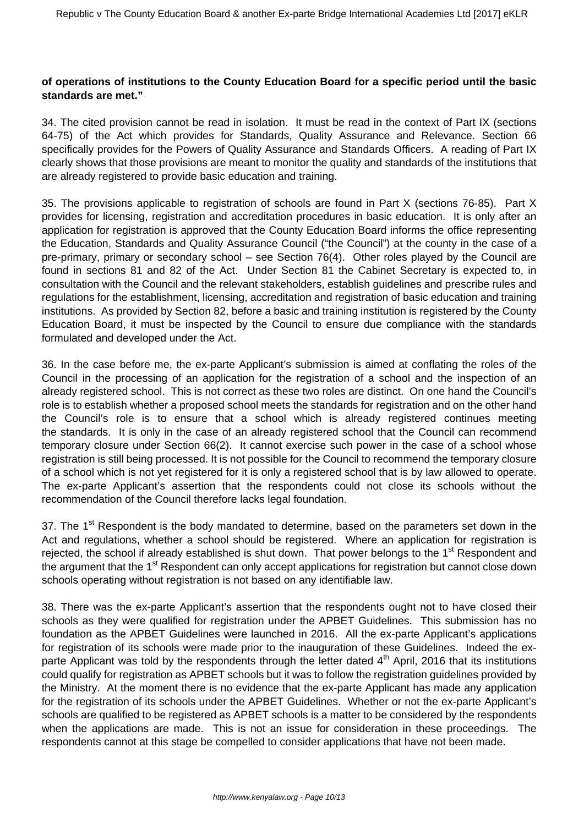#### **of operations of institutions to the County Education Board for a specific period until the basic standards are met."**

34. The cited provision cannot be read in isolation. It must be read in the context of Part IX (sections 64-75) of the Act which provides for Standards, Quality Assurance and Relevance. Section 66 specifically provides for the Powers of Quality Assurance and Standards Officers. A reading of Part IX clearly shows that those provisions are meant to monitor the quality and standards of the institutions that are already registered to provide basic education and training.

35. The provisions applicable to registration of schools are found in Part X (sections 76-85). Part X provides for licensing, registration and accreditation procedures in basic education. It is only after an application for registration is approved that the County Education Board informs the office representing the Education, Standards and Quality Assurance Council ("the Council") at the county in the case of a pre-primary, primary or secondary school – see Section 76(4). Other roles played by the Council are found in sections 81 and 82 of the Act. Under Section 81 the Cabinet Secretary is expected to, in consultation with the Council and the relevant stakeholders, establish guidelines and prescribe rules and regulations for the establishment, licensing, accreditation and registration of basic education and training institutions. As provided by Section 82, before a basic and training institution is registered by the County Education Board, it must be inspected by the Council to ensure due compliance with the standards formulated and developed under the Act.

36. In the case before me, the ex-parte Applicant's submission is aimed at conflating the roles of the Council in the processing of an application for the registration of a school and the inspection of an already registered school. This is not correct as these two roles are distinct. On one hand the Council's role is to establish whether a proposed school meets the standards for registration and on the other hand the Council's role is to ensure that a school which is already registered continues meeting the standards. It is only in the case of an already registered school that the Council can recommend temporary closure under Section 66(2). It cannot exercise such power in the case of a school whose registration is still being processed. It is not possible for the Council to recommend the temporary closure of a school which is not yet registered for it is only a registered school that is by law allowed to operate. The ex-parte Applicant's assertion that the respondents could not close its schools without the recommendation of the Council therefore lacks legal foundation.

37. The 1<sup>st</sup> Respondent is the body mandated to determine, based on the parameters set down in the Act and regulations, whether a school should be registered. Where an application for registration is rejected, the school if already established is shut down. That power belongs to the 1<sup>st</sup> Respondent and the argument that the 1<sup>st</sup> Respondent can only accept applications for registration but cannot close down schools operating without registration is not based on any identifiable law.

38. There was the ex-parte Applicant's assertion that the respondents ought not to have closed their schools as they were qualified for registration under the APBET Guidelines. This submission has no foundation as the APBET Guidelines were launched in 2016. All the ex-parte Applicant's applications for registration of its schools were made prior to the inauguration of these Guidelines. Indeed the exparte Applicant was told by the respondents through the letter dated  $4<sup>th</sup>$  April, 2016 that its institutions could qualify for registration as APBET schools but it was to follow the registration guidelines provided by the Ministry. At the moment there is no evidence that the ex-parte Applicant has made any application for the registration of its schools under the APBET Guidelines. Whether or not the ex-parte Applicant's schools are qualified to be registered as APBET schools is a matter to be considered by the respondents when the applications are made. This is not an issue for consideration in these proceedings. The respondents cannot at this stage be compelled to consider applications that have not been made.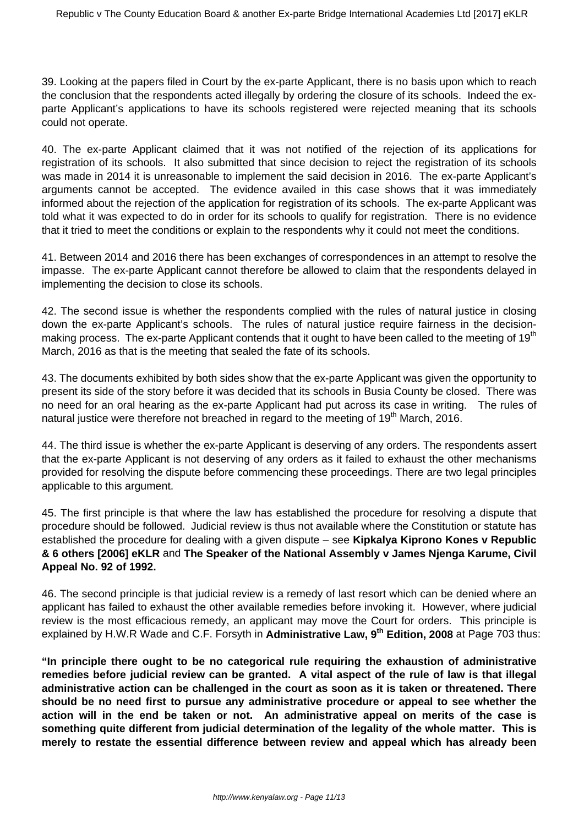39. Looking at the papers filed in Court by the ex-parte Applicant, there is no basis upon which to reach the conclusion that the respondents acted illegally by ordering the closure of its schools. Indeed the exparte Applicant's applications to have its schools registered were rejected meaning that its schools could not operate.

40. The ex-parte Applicant claimed that it was not notified of the rejection of its applications for registration of its schools. It also submitted that since decision to reject the registration of its schools was made in 2014 it is unreasonable to implement the said decision in 2016. The ex-parte Applicant's arguments cannot be accepted. The evidence availed in this case shows that it was immediately informed about the rejection of the application for registration of its schools. The ex-parte Applicant was told what it was expected to do in order for its schools to qualify for registration. There is no evidence that it tried to meet the conditions or explain to the respondents why it could not meet the conditions.

41. Between 2014 and 2016 there has been exchanges of correspondences in an attempt to resolve the impasse. The ex-parte Applicant cannot therefore be allowed to claim that the respondents delayed in implementing the decision to close its schools.

42. The second issue is whether the respondents complied with the rules of natural justice in closing down the ex-parte Applicant's schools. The rules of natural justice require fairness in the decisionmaking process. The ex-parte Applicant contends that it ought to have been called to the meeting of 19<sup>th</sup> March, 2016 as that is the meeting that sealed the fate of its schools.

43. The documents exhibited by both sides show that the ex-parte Applicant was given the opportunity to present its side of the story before it was decided that its schools in Busia County be closed. There was no need for an oral hearing as the ex-parte Applicant had put across its case in writing. The rules of natural justice were therefore not breached in regard to the meeting of  $19<sup>th</sup>$  March, 2016.

44. The third issue is whether the ex-parte Applicant is deserving of any orders. The respondents assert that the ex-parte Applicant is not deserving of any orders as it failed to exhaust the other mechanisms provided for resolving the dispute before commencing these proceedings. There are two legal principles applicable to this argument.

45. The first principle is that where the law has established the procedure for resolving a dispute that procedure should be followed. Judicial review is thus not available where the Constitution or statute has established the procedure for dealing with a given dispute – see **Kipkalya Kiprono Kones v Republic & 6 others [2006] eKLR** and **The Speaker of the National Assembly v James Njenga Karume, Civil Appeal No. 92 of 1992.**

46. The second principle is that judicial review is a remedy of last resort which can be denied where an applicant has failed to exhaust the other available remedies before invoking it. However, where judicial review is the most efficacious remedy, an applicant may move the Court for orders. This principle is explained by H.W.R Wade and C.F. Forsyth in **Administrative Law, 9th Edition, 2008** at Page 703 thus:

**"In principle there ought to be no categorical rule requiring the exhaustion of administrative remedies before judicial review can be granted. A vital aspect of the rule of law is that illegal administrative action can be challenged in the court as soon as it is taken or threatened. There should be no need first to pursue any administrative procedure or appeal to see whether the action will in the end be taken or not. An administrative appeal on merits of the case is something quite different from judicial determination of the legality of the whole matter. This is merely to restate the essential difference between review and appeal which has already been**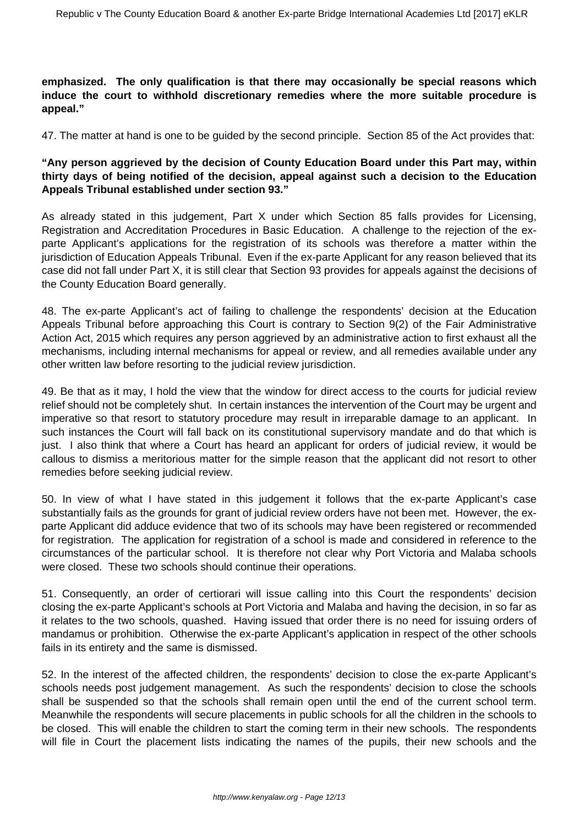**emphasized. The only qualification is that there may occasionally be special reasons which induce the court to withhold discretionary remedies where the more suitable procedure is appeal."** 

47. The matter at hand is one to be guided by the second principle. Section 85 of the Act provides that:

### **"Any person aggrieved by the decision of County Education Board under this Part may, within thirty days of being notified of the decision, appeal against such a decision to the Education Appeals Tribunal established under section 93."**

As already stated in this judgement, Part X under which Section 85 falls provides for Licensing, Registration and Accreditation Procedures in Basic Education. A challenge to the rejection of the exparte Applicant's applications for the registration of its schools was therefore a matter within the jurisdiction of Education Appeals Tribunal. Even if the ex-parte Applicant for any reason believed that its case did not fall under Part X, it is still clear that Section 93 provides for appeals against the decisions of the County Education Board generally.

48. The ex-parte Applicant's act of failing to challenge the respondents' decision at the Education Appeals Tribunal before approaching this Court is contrary to Section 9(2) of the Fair Administrative Action Act, 2015 which requires any person aggrieved by an administrative action to first exhaust all the mechanisms, including internal mechanisms for appeal or review, and all remedies available under any other written law before resorting to the judicial review jurisdiction.

49. Be that as it may, I hold the view that the window for direct access to the courts for judicial review relief should not be completely shut. In certain instances the intervention of the Court may be urgent and imperative so that resort to statutory procedure may result in irreparable damage to an applicant. In such instances the Court will fall back on its constitutional supervisory mandate and do that which is just. I also think that where a Court has heard an applicant for orders of judicial review, it would be callous to dismiss a meritorious matter for the simple reason that the applicant did not resort to other remedies before seeking judicial review.

50. In view of what I have stated in this judgement it follows that the ex-parte Applicant's case substantially fails as the grounds for grant of judicial review orders have not been met. However, the exparte Applicant did adduce evidence that two of its schools may have been registered or recommended for registration. The application for registration of a school is made and considered in reference to the circumstances of the particular school. It is therefore not clear why Port Victoria and Malaba schools were closed. These two schools should continue their operations.

51. Consequently, an order of certiorari will issue calling into this Court the respondents' decision closing the ex-parte Applicant's schools at Port Victoria and Malaba and having the decision, in so far as it relates to the two schools, quashed. Having issued that order there is no need for issuing orders of mandamus or prohibition. Otherwise the ex-parte Applicant's application in respect of the other schools fails in its entirety and the same is dismissed.

52. In the interest of the affected children, the respondents' decision to close the ex-parte Applicant's schools needs post judgement management. As such the respondents' decision to close the schools shall be suspended so that the schools shall remain open until the end of the current school term. Meanwhile the respondents will secure placements in public schools for all the children in the schools to be closed. This will enable the children to start the coming term in their new schools. The respondents will file in Court the placement lists indicating the names of the pupils, their new schools and the